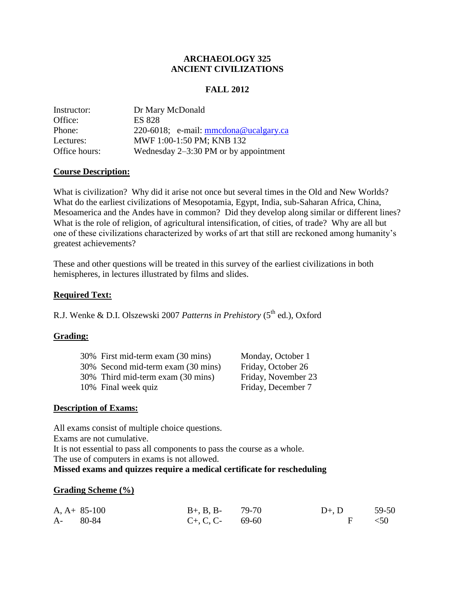# **ARCHAEOLOGY 325 ANCIENT CIVILIZATIONS**

# **FALL 2012**

| Instructor:   | Dr Mary McDonald                        |
|---------------|-----------------------------------------|
| Office:       | <b>ES 828</b>                           |
| Phone:        | 220-6018; e-mail: $mmedona@ucalgary.ca$ |
| Lectures:     | MWF 1:00-1:50 PM; KNB 132               |
| Office hours: | Wednesday $2-3:30$ PM or by appointment |

# **Course Description:**

What is civilization? Why did it arise not once but several times in the Old and New Worlds? What do the earliest civilizations of Mesopotamia, Egypt, India, sub-Saharan Africa, China, Mesoamerica and the Andes have in common? Did they develop along similar or different lines? What is the role of religion, of agricultural intensification, of cities, of trade? Why are all but one of these civilizations characterized by works of art that still are reckoned among humanity's greatest achievements?

These and other questions will be treated in this survey of the earliest civilizations in both hemispheres, in lectures illustrated by films and slides.

# **Required Text:**

R.J. Wenke & D.I. Olszewski 2007 Patterns in Prehistory (5<sup>th</sup> ed.), Oxford

# **Grading:**

| 30% First mid-term exam (30 mins)  | Monday, October 1   |
|------------------------------------|---------------------|
| 30% Second mid-term exam (30 mins) | Friday, October 26  |
| 30% Third mid-term exam (30 mins)  | Friday, November 23 |
| 10% Final week quiz                | Friday, December 7  |

## **Description of Exams:**

All exams consist of multiple choice questions. Exams are not cumulative.

It is not essential to pass all components to pass the course as a whole.

The use of computers in exams is not allowed.

## **Missed exams and quizzes require a medical certificate for rescheduling**

## **Grading Scheme (%)**

|          | $A, A+85-100$ | $B_{+}$ , B, B- 79-70 | $D+$ , $D = 59-50$ |  |
|----------|---------------|-----------------------|--------------------|--|
| A- 80-84 |               | $C_{+}$ , C, C- 69-60 | $F \sim 50$        |  |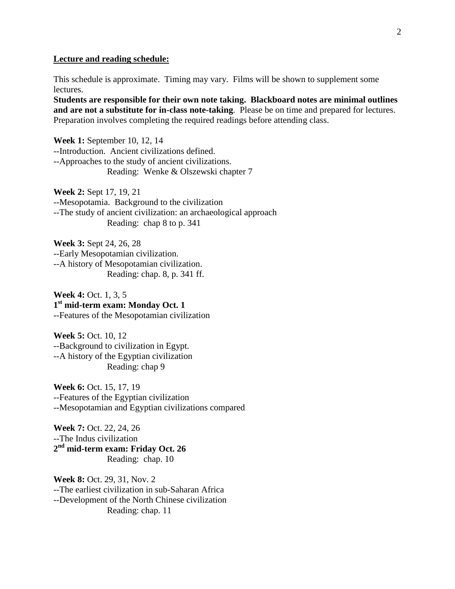#### **Lecture and reading schedule:**

This schedule is approximate. Timing may vary. Films will be shown to supplement some lectures.

**Students are responsible for their own note taking. Blackboard notes are minimal outlines and are not a substitute for in-class note-taking**. Please be on time and prepared for lectures. Preparation involves completing the required readings before attending class.

**Week 1:** September 10, 12, 14 --Introduction. Ancient civilizations defined. --Approaches to the study of ancient civilizations. Reading: Wenke & Olszewski chapter 7

**Week 2:** Sept 17, 19, 21 --Mesopotamia. Background to the civilization --The study of ancient civilization: an archaeological approach Reading: chap 8 to p. 341

**Week 3:** Sept 24, 26, 28 --Early Mesopotamian civilization. --A history of Mesopotamian civilization. Reading: chap. 8, p. 341 ff.

**Week 4:** Oct. 1, 3, 5 **1 st mid-term exam: Monday Oct. 1** --Features of the Mesopotamian civilization

**Week 5:** Oct. 10, 12 --Background to civilization in Egypt. --A history of the Egyptian civilization Reading: chap 9

**Week 6:** Oct. 15, 17, 19 --Features of the Egyptian civilization --Mesopotamian and Egyptian civilizations compared

**Week 7:** Oct. 22, 24, 26 --The Indus civilization **2 nd mid-term exam: Friday Oct. 26** Reading: chap. 10

**Week 8:** Oct. 29, 31, Nov. 2 --The earliest civilization in sub-Saharan Africa --Development of the North Chinese civilization Reading: chap. 11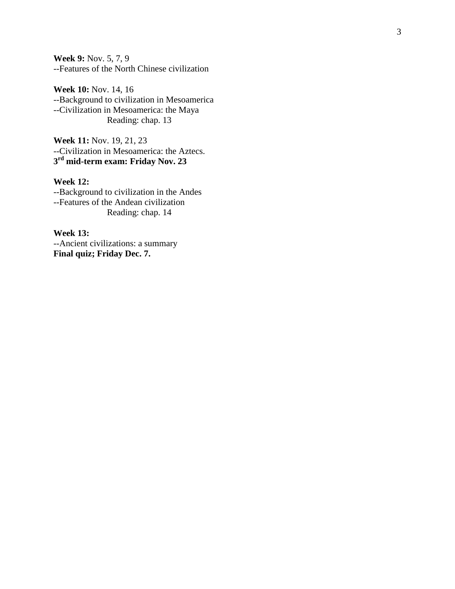**Week 9:** Nov. 5, 7, 9 --Features of the North Chinese civilization

**Week 10:** Nov. 14, 16 --Background to civilization in Mesoamerica --Civilization in Mesoamerica: the Maya Reading: chap. 13

**Week 11:** Nov. 19, 21, 2 3 --Civilization in Mesoamerica: the Aztecs. **3 rd mid -term exam: Friday Nov. 23**

## **Week 12:**

--Background to civilization in the Andes --Features of the Andean civilization Reading: chap. 14

**Week 13:** --Ancient civilizations: a summary **Final quiz; Friday Dec. 7.**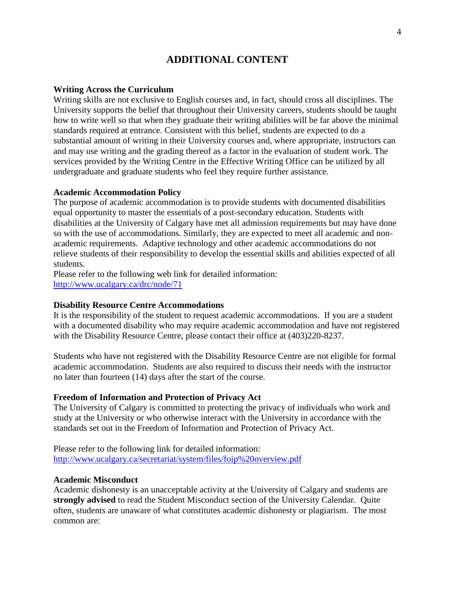# **ADDITIONAL CONTENT**

#### **Writing Across the Curriculum**

Writing skills are not exclusive to English courses and, in fact, should cross all disciplines. The University supports the belief that throughout their University careers, students should be taught how to write well so that when they graduate their writing abilities will be far above the minimal standards required at entrance. Consistent with this belief, students are expected to do a substantial amount of writing in their University courses and, where appropriate, instructors can and may use writing and the grading thereof as a factor in the evaluation of student work. The services provided by the Writing Centre in the Effective Writing Office can be utilized by all undergraduate and graduate students who feel they require further assistance.

#### **Academic Accommodation Policy**

The purpose of academic accommodation is to provide students with documented disabilities equal opportunity to master the essentials of a post-secondary education. Students with disabilities at the University of Calgary have met all admission requirements but may have done so with the use of accommodations. Similarly, they are expected to meet all academic and nonacademic requirements. Adaptive technology and other academic accommodations do not relieve students of their responsibility to develop the essential skills and abilities expected of all students.

Please refer to the following web link for detailed information: <http://www.ucalgary.ca/drc/node/71>

#### **Disability Resource Centre Accommodations**

It is the responsibility of the student to request academic accommodations. If you are a student with a documented disability who may require academic accommodation and have not registered with the Disability Resource Centre, please contact their office at  $(403)220-8237$ .

Students who have not registered with the Disability Resource Centre are not eligible for formal academic accommodation. Students are also required to discuss their needs with the instructor no later than fourteen (14) days after the start of the course.

#### **Freedom of Information and Protection of Privacy Act**

The University of Calgary is committed to protecting the privacy of individuals who work and study at the University or who otherwise interact with the University in accordance with the standards set out in the Freedom of Information and Protection of Privacy Act.

Please refer to the following link for detailed information: <http://www.ucalgary.ca/secretariat/system/files/foip%20overview.pdf>

#### **Academic Misconduct**

Academic dishonesty is an unacceptable activity at the University of Calgary and students are **strongly advised** to read the Student Misconduct section of the University Calendar. Quite often, students are unaware of what constitutes academic dishonesty or plagiarism. The most common are: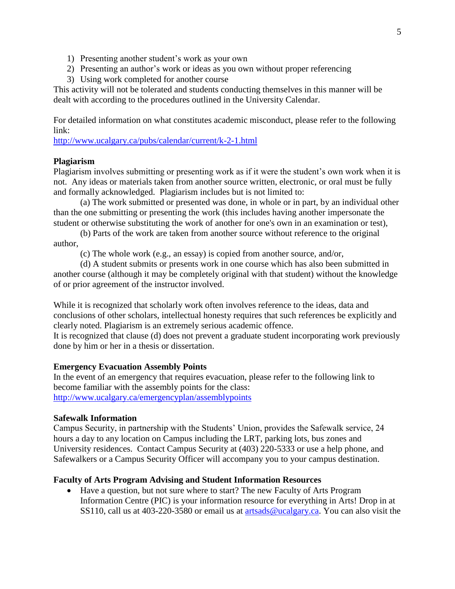- 1) Presenting another student's work as your own
- 2) Presenting an author's work or ideas as you own without proper referencing
- 3) Using work completed for another course

This activity will not be tolerated and students conducting themselves in this manner will be dealt with according to the procedures outlined in the University Calendar.

For detailed information on what constitutes academic misconduct, please refer to the following link:

<http://www.ucalgary.ca/pubs/calendar/current/k-2-1.html>

## **Plagiarism**

Plagiarism involves submitting or presenting work as if it were the student's own work when it is not. Any ideas or materials taken from another source written, electronic, or oral must be fully and formally acknowledged. Plagiarism includes but is not limited to:

(a) The work submitted or presented was done, in whole or in part, by an individual other than the one submitting or presenting the work (this includes having another impersonate the student or otherwise substituting the work of another for one's own in an examination or test),

(b) Parts of the work are taken from another source without reference to the original author,

(c) The whole work (e.g., an essay) is copied from another source, and/or,

(d) A student submits or presents work in one course which has also been submitted in another course (although it may be completely original with that student) without the knowledge of or prior agreement of the instructor involved.

While it is recognized that scholarly work often involves reference to the ideas, data and conclusions of other scholars, intellectual honesty requires that such references be explicitly and clearly noted. Plagiarism is an extremely serious academic offence.

It is recognized that clause (d) does not prevent a graduate student incorporating work previously done by him or her in a thesis or dissertation.

## **Emergency Evacuation Assembly Points**

In the event of an emergency that requires evacuation, please refer to the following link to become familiar with the assembly points for the class: <http://www.ucalgary.ca/emergencyplan/assemblypoints>

#### **Safewalk Information**

Campus Security, in partnership with the Students' Union, provides the Safewalk service, 24 hours a day to any location on Campus including the LRT, parking lots, bus zones and University residences. Contact Campus Security at (403) 220-5333 or use a help phone, and Safewalkers or a Campus Security Officer will accompany you to your campus destination.

## **Faculty of Arts Program Advising and Student Information Resources**

 Have a question, but not sure where to start? The new Faculty of Arts Program Information Centre (PIC) is your information resource for everything in Arts! Drop in at SS110, call us at 403-220-3580 or email us at [artsads@ucalgary.ca.](mailto:artsads@ucalgary.ca) You can also visit the